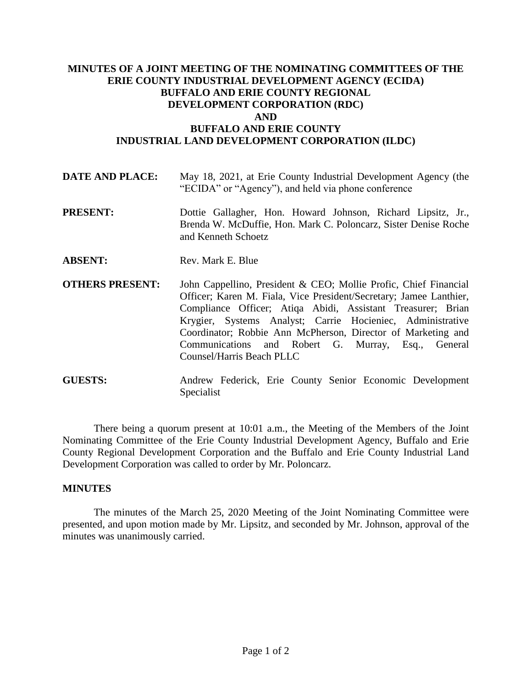## **MINUTES OF A JOINT MEETING OF THE NOMINATING COMMITTEES OF THE ERIE COUNTY INDUSTRIAL DEVELOPMENT AGENCY (ECIDA) BUFFALO AND ERIE COUNTY REGIONAL DEVELOPMENT CORPORATION (RDC) AND BUFFALO AND ERIE COUNTY INDUSTRIAL LAND DEVELOPMENT CORPORATION (ILDC)**

| <b>DATE AND PLACE:</b> | May 18, 2021, at Erie County Industrial Development Agency (the |
|------------------------|-----------------------------------------------------------------|
|                        | "ECIDA" or "Agency"), and held via phone conference             |

- **PRESENT:** Dottie Gallagher, Hon. Howard Johnson, Richard Lipsitz, Jr., Brenda W. McDuffie, Hon. Mark C. Poloncarz, Sister Denise Roche and Kenneth Schoetz
- **ABSENT:** Rev. Mark E. Blue
- **OTHERS PRESENT:** John Cappellino, President & CEO; Mollie Profic, Chief Financial Officer; Karen M. Fiala, Vice President/Secretary; Jamee Lanthier, Compliance Officer; Atiqa Abidi, Assistant Treasurer; Brian Krygier, Systems Analyst; Carrie Hocieniec, Administrative Coordinator; Robbie Ann McPherson, Director of Marketing and Communications and Robert G. Murray, Esq., General Counsel/Harris Beach PLLC
- **GUESTS:** Andrew Federick, Erie County Senior Economic Development Specialist

There being a quorum present at 10:01 a.m., the Meeting of the Members of the Joint Nominating Committee of the Erie County Industrial Development Agency, Buffalo and Erie County Regional Development Corporation and the Buffalo and Erie County Industrial Land Development Corporation was called to order by Mr. Poloncarz.

## **MINUTES**

The minutes of the March 25, 2020 Meeting of the Joint Nominating Committee were presented, and upon motion made by Mr. Lipsitz, and seconded by Mr. Johnson, approval of the minutes was unanimously carried.